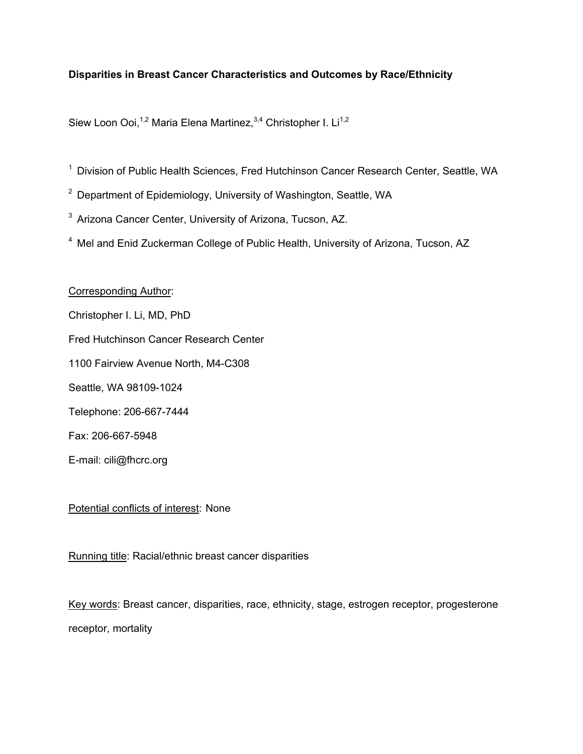# **Disparities in Breast Cancer Characteristics and Outcomes by Race/Ethnicity**

Siew Loon Ooi,<sup>1,2</sup> Maria Elena Martinez,<sup>3,4</sup> Christopher I. Li<sup>1,2</sup>

- 1 Division of Public Health Sciences, Fred Hutchinson Cancer Research Center, Seattle, WA
- <sup>2</sup> Department of Epidemiology, University of Washington, Seattle, WA
- <sup>3</sup> Arizona Cancer Center, University of Arizona, Tucson, AZ.
- 4 Mel and Enid Zuckerman College of Public Health, University of Arizona, Tucson, AZ

### Corresponding Author:

- Christopher I. Li, MD, PhD
- Fred Hutchinson Cancer Research Center
- 1100 Fairview Avenue North, M4-C308
- Seattle, WA 98109-1024
- Telephone: 206-667-7444
- Fax: 206-667-5948
- E-mail: cili@fhcrc.org

## Potential conflicts of interest: None

Running title: Racial/ethnic breast cancer disparities

Key words: Breast cancer, disparities, race, ethnicity, stage, estrogen receptor, progesterone receptor, mortality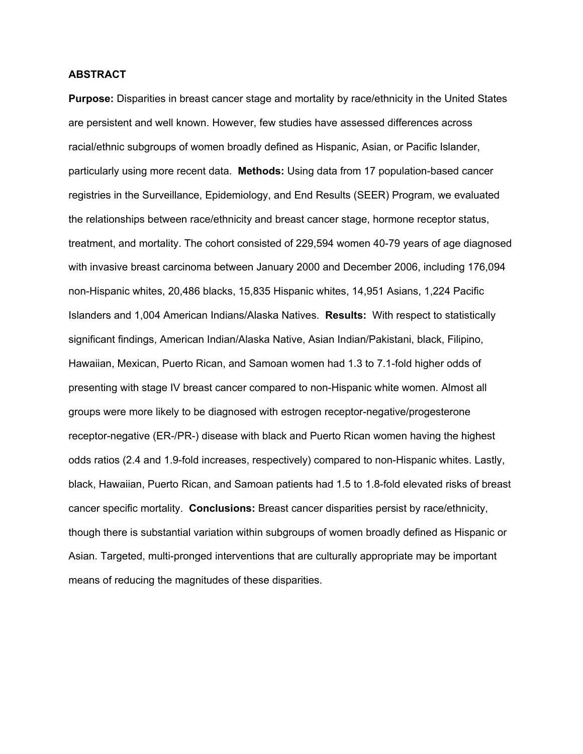### **ABSTRACT**

**Purpose:** Disparities in breast cancer stage and mortality by race/ethnicity in the United States are persistent and well known. However, few studies have assessed differences across racial/ethnic subgroups of women broadly defined as Hispanic, Asian, or Pacific Islander, particularly using more recent data. **Methods:** Using data from 17 population-based cancer registries in the Surveillance, Epidemiology, and End Results (SEER) Program, we evaluated the relationships between race/ethnicity and breast cancer stage, hormone receptor status, treatment, and mortality. The cohort consisted of 229,594 women 40-79 years of age diagnosed with invasive breast carcinoma between January 2000 and December 2006, including 176,094 non-Hispanic whites, 20,486 blacks, 15,835 Hispanic whites, 14,951 Asians, 1,224 Pacific Islanders and 1,004 American Indians/Alaska Natives. **Results:** With respect to statistically significant findings, American Indian/Alaska Native, Asian Indian/Pakistani, black, Filipino, Hawaiian, Mexican, Puerto Rican, and Samoan women had 1.3 to 7.1-fold higher odds of presenting with stage IV breast cancer compared to non-Hispanic white women. Almost all groups were more likely to be diagnosed with estrogen receptor-negative/progesterone receptor-negative (ER-/PR-) disease with black and Puerto Rican women having the highest odds ratios (2.4 and 1.9-fold increases, respectively) compared to non-Hispanic whites. Lastly, black, Hawaiian, Puerto Rican, and Samoan patients had 1.5 to 1.8-fold elevated risks of breast cancer specific mortality. **Conclusions:** Breast cancer disparities persist by race/ethnicity, though there is substantial variation within subgroups of women broadly defined as Hispanic or Asian. Targeted, multi-pronged interventions that are culturally appropriate may be important means of reducing the magnitudes of these disparities.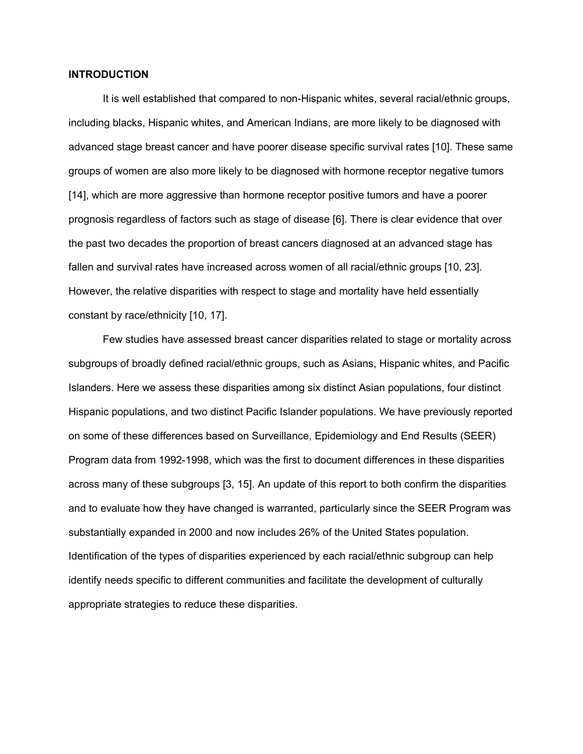### **INTRODUCTION**

 It is well established that compared to non-Hispanic whites, several racial/ethnic groups, including blacks, Hispanic whites, and American Indians, are more likely to be diagnosed with advanced stage breast cancer and have poorer disease specific survival rates [10]. These same groups of women are also more likely to be diagnosed with hormone receptor negative tumors [14], which are more aggressive than hormone receptor positive tumors and have a poorer prognosis regardless of factors such as stage of disease [6]. There is clear evidence that over the past two decades the proportion of breast cancers diagnosed at an advanced stage has fallen and survival rates have increased across women of all racial/ethnic groups [10, 23]. However, the relative disparities with respect to stage and mortality have held essentially constant by race/ethnicity [10, 17].

 Few studies have assessed breast cancer disparities related to stage or mortality across subgroups of broadly defined racial/ethnic groups, such as Asians, Hispanic whites, and Pacific Islanders. Here we assess these disparities among six distinct Asian populations, four distinct Hispanic populations, and two distinct Pacific Islander populations. We have previously reported on some of these differences based on Surveillance, Epidemiology and End Results (SEER) Program data from 1992-1998, which was the first to document differences in these disparities across many of these subgroups [3, 15]. An update of this report to both confirm the disparities and to evaluate how they have changed is warranted, particularly since the SEER Program was substantially expanded in 2000 and now includes 26% of the United States population. Identification of the types of disparities experienced by each racial/ethnic subgroup can help identify needs specific to different communities and facilitate the development of culturally appropriate strategies to reduce these disparities.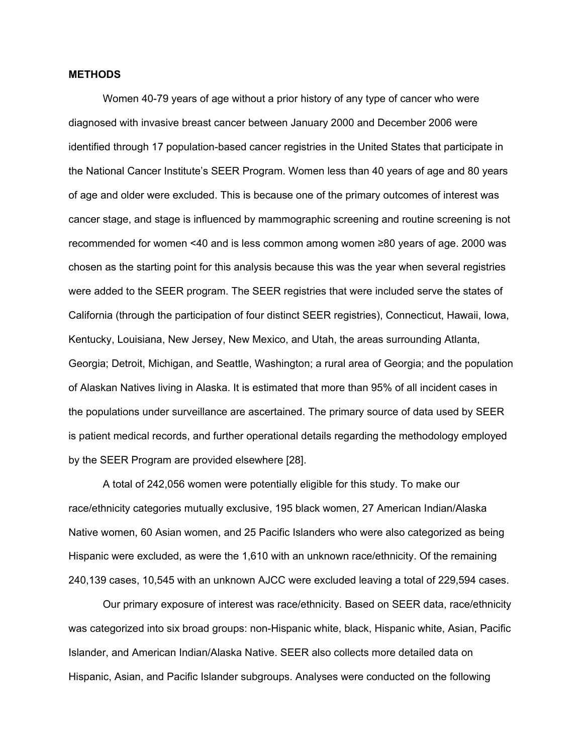#### **METHODS**

 Women 40-79 years of age without a prior history of any type of cancer who were diagnosed with invasive breast cancer between January 2000 and December 2006 were identified through 17 population-based cancer registries in the United States that participate in the National Cancer Institute's SEER Program. Women less than 40 years of age and 80 years of age and older were excluded. This is because one of the primary outcomes of interest was cancer stage, and stage is influenced by mammographic screening and routine screening is not recommended for women <40 and is less common among women ≥80 years of age. 2000 was chosen as the starting point for this analysis because this was the year when several registries were added to the SEER program. The SEER registries that were included serve the states of California (through the participation of four distinct SEER registries), Connecticut, Hawaii, Iowa, Kentucky, Louisiana, New Jersey, New Mexico, and Utah, the areas surrounding Atlanta, Georgia; Detroit, Michigan, and Seattle, Washington; a rural area of Georgia; and the population of Alaskan Natives living in Alaska. It is estimated that more than 95% of all incident cases in the populations under surveillance are ascertained. The primary source of data used by SEER is patient medical records, and further operational details regarding the methodology employed by the SEER Program are provided elsewhere [28].

 A total of 242,056 women were potentially eligible for this study. To make our race/ethnicity categories mutually exclusive, 195 black women, 27 American Indian/Alaska Native women, 60 Asian women, and 25 Pacific Islanders who were also categorized as being Hispanic were excluded, as were the 1,610 with an unknown race/ethnicity. Of the remaining 240,139 cases, 10,545 with an unknown AJCC were excluded leaving a total of 229,594 cases.

 Our primary exposure of interest was race/ethnicity. Based on SEER data, race/ethnicity was categorized into six broad groups: non-Hispanic white, black, Hispanic white, Asian, Pacific Islander, and American Indian/Alaska Native. SEER also collects more detailed data on Hispanic, Asian, and Pacific Islander subgroups. Analyses were conducted on the following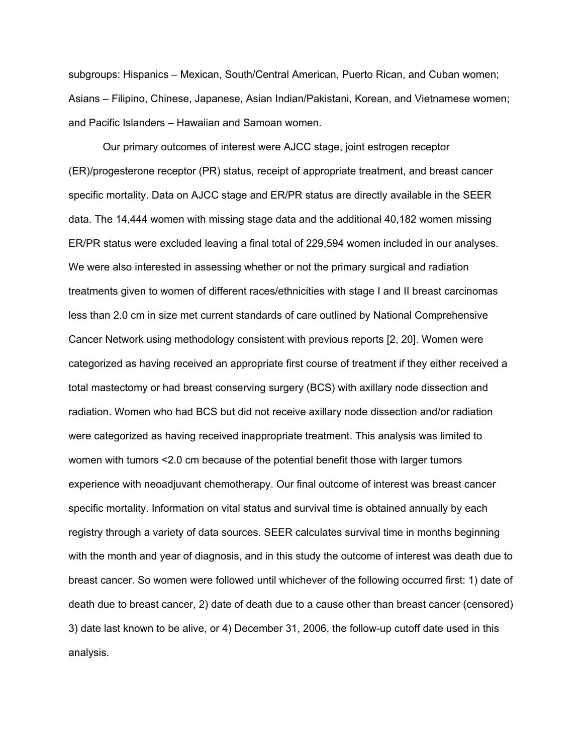subgroups: Hispanics – Mexican, South/Central American, Puerto Rican, and Cuban women; Asians – Filipino, Chinese, Japanese, Asian Indian/Pakistani, Korean, and Vietnamese women; and Pacific Islanders – Hawaiian and Samoan women.

 Our primary outcomes of interest were AJCC stage, joint estrogen receptor (ER)/progesterone receptor (PR) status, receipt of appropriate treatment, and breast cancer specific mortality. Data on AJCC stage and ER/PR status are directly available in the SEER data. The 14,444 women with missing stage data and the additional 40,182 women missing ER/PR status were excluded leaving a final total of 229,594 women included in our analyses. We were also interested in assessing whether or not the primary surgical and radiation treatments given to women of different races/ethnicities with stage I and II breast carcinomas less than 2.0 cm in size met current standards of care outlined by National Comprehensive Cancer Network using methodology consistent with previous reports [2, 20]. Women were categorized as having received an appropriate first course of treatment if they either received a total mastectomy or had breast conserving surgery (BCS) with axillary node dissection and radiation. Women who had BCS but did not receive axillary node dissection and/or radiation were categorized as having received inappropriate treatment. This analysis was limited to women with tumors <2.0 cm because of the potential benefit those with larger tumors experience with neoadjuvant chemotherapy. Our final outcome of interest was breast cancer specific mortality. Information on vital status and survival time is obtained annually by each registry through a variety of data sources. SEER calculates survival time in months beginning with the month and year of diagnosis, and in this study the outcome of interest was death due to breast cancer. So women were followed until whichever of the following occurred first: 1) date of death due to breast cancer, 2) date of death due to a cause other than breast cancer (censored) 3) date last known to be alive, or 4) December 31, 2006, the follow-up cutoff date used in this analysis.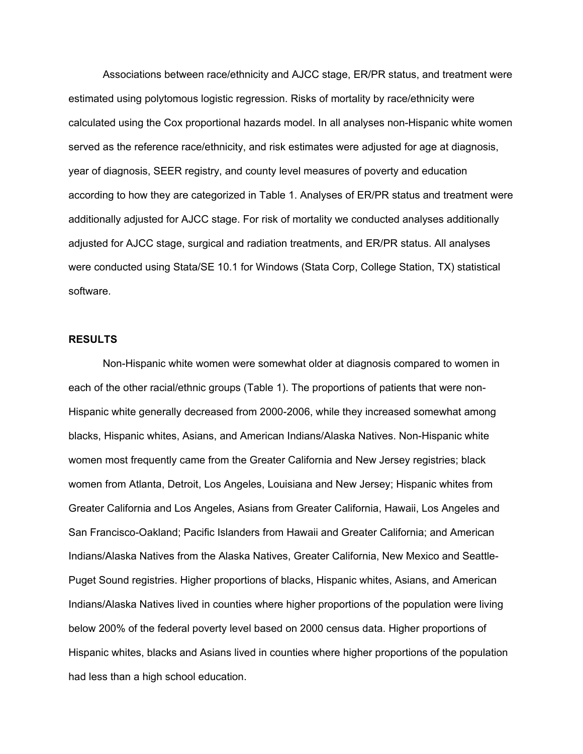Associations between race/ethnicity and AJCC stage, ER/PR status, and treatment were estimated using polytomous logistic regression. Risks of mortality by race/ethnicity were calculated using the Cox proportional hazards model. In all analyses non-Hispanic white women served as the reference race/ethnicity, and risk estimates were adjusted for age at diagnosis, year of diagnosis, SEER registry, and county level measures of poverty and education according to how they are categorized in Table 1. Analyses of ER/PR status and treatment were additionally adjusted for AJCC stage. For risk of mortality we conducted analyses additionally adjusted for AJCC stage, surgical and radiation treatments, and ER/PR status. All analyses were conducted using Stata/SE 10.1 for Windows (Stata Corp, College Station, TX) statistical software.

### **RESULTS**

Non-Hispanic white women were somewhat older at diagnosis compared to women in each of the other racial/ethnic groups (Table 1). The proportions of patients that were non-Hispanic white generally decreased from 2000-2006, while they increased somewhat among blacks, Hispanic whites, Asians, and American Indians/Alaska Natives. Non-Hispanic white women most frequently came from the Greater California and New Jersey registries; black women from Atlanta, Detroit, Los Angeles, Louisiana and New Jersey; Hispanic whites from Greater California and Los Angeles, Asians from Greater California, Hawaii, Los Angeles and San Francisco-Oakland; Pacific Islanders from Hawaii and Greater California; and American Indians/Alaska Natives from the Alaska Natives, Greater California, New Mexico and Seattle-Puget Sound registries. Higher proportions of blacks, Hispanic whites, Asians, and American Indians/Alaska Natives lived in counties where higher proportions of the population were living below 200% of the federal poverty level based on 2000 census data. Higher proportions of Hispanic whites, blacks and Asians lived in counties where higher proportions of the population had less than a high school education.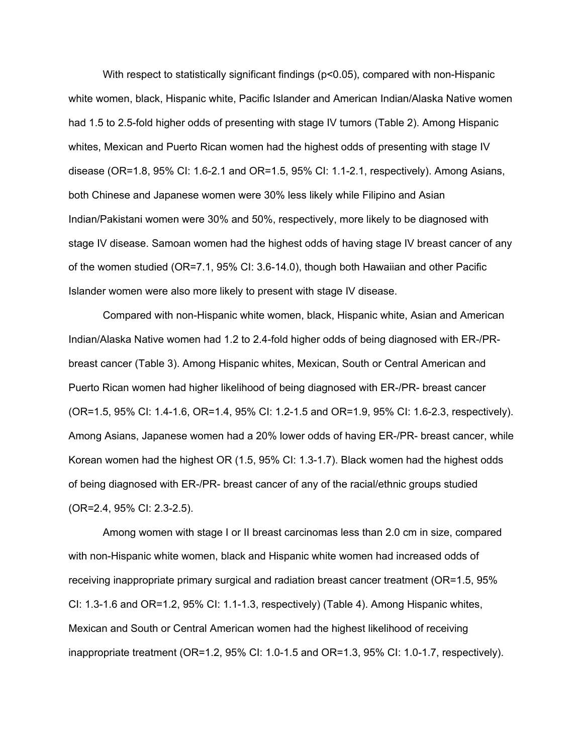With respect to statistically significant findings (p<0.05), compared with non-Hispanic white women, black, Hispanic white, Pacific Islander and American Indian/Alaska Native women had 1.5 to 2.5-fold higher odds of presenting with stage IV tumors (Table 2). Among Hispanic whites, Mexican and Puerto Rican women had the highest odds of presenting with stage IV disease (OR=1.8, 95% CI: 1.6-2.1 and OR=1.5, 95% CI: 1.1-2.1, respectively). Among Asians, both Chinese and Japanese women were 30% less likely while Filipino and Asian Indian/Pakistani women were 30% and 50%, respectively, more likely to be diagnosed with stage IV disease. Samoan women had the highest odds of having stage IV breast cancer of any of the women studied (OR=7.1, 95% CI: 3.6-14.0), though both Hawaiian and other Pacific Islander women were also more likely to present with stage IV disease.

Compared with non-Hispanic white women, black, Hispanic white, Asian and American Indian/Alaska Native women had 1.2 to 2.4-fold higher odds of being diagnosed with ER-/PRbreast cancer (Table 3). Among Hispanic whites, Mexican, South or Central American and Puerto Rican women had higher likelihood of being diagnosed with ER-/PR- breast cancer (OR=1.5, 95% CI: 1.4-1.6, OR=1.4, 95% CI: 1.2-1.5 and OR=1.9, 95% CI: 1.6-2.3, respectively). Among Asians, Japanese women had a 20% lower odds of having ER-/PR- breast cancer, while Korean women had the highest OR (1.5, 95% CI: 1.3-1.7). Black women had the highest odds of being diagnosed with ER-/PR- breast cancer of any of the racial/ethnic groups studied (OR=2.4, 95% CI: 2.3-2.5).

Among women with stage I or II breast carcinomas less than 2.0 cm in size, compared with non-Hispanic white women, black and Hispanic white women had increased odds of receiving inappropriate primary surgical and radiation breast cancer treatment (OR=1.5, 95% CI: 1.3-1.6 and OR=1.2, 95% CI: 1.1-1.3, respectively) (Table 4). Among Hispanic whites, Mexican and South or Central American women had the highest likelihood of receiving inappropriate treatment (OR=1.2, 95% CI: 1.0-1.5 and OR=1.3, 95% CI: 1.0-1.7, respectively).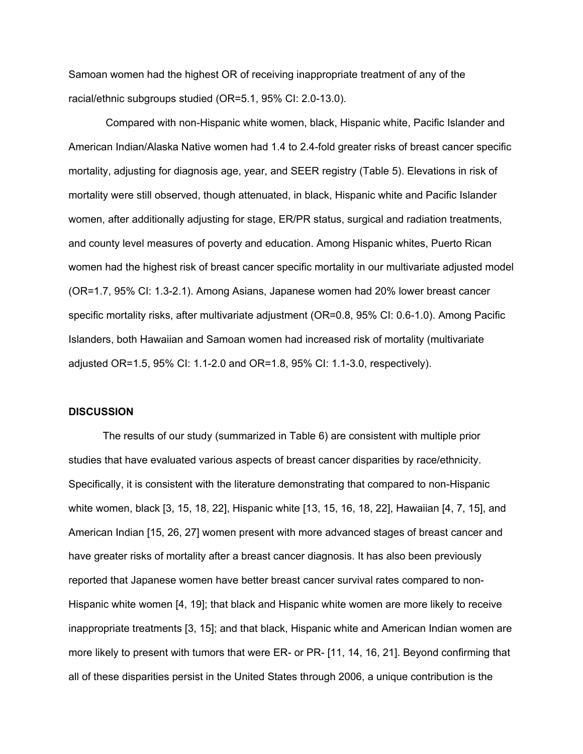Samoan women had the highest OR of receiving inappropriate treatment of any of the racial/ethnic subgroups studied (OR=5.1, 95% CI: 2.0-13.0).

 Compared with non-Hispanic white women, black, Hispanic white, Pacific Islander and American Indian/Alaska Native women had 1.4 to 2.4-fold greater risks of breast cancer specific mortality, adjusting for diagnosis age, year, and SEER registry (Table 5). Elevations in risk of mortality were still observed, though attenuated, in black, Hispanic white and Pacific Islander women, after additionally adjusting for stage, ER/PR status, surgical and radiation treatments, and county level measures of poverty and education. Among Hispanic whites, Puerto Rican women had the highest risk of breast cancer specific mortality in our multivariate adjusted model (OR=1.7, 95% CI: 1.3-2.1). Among Asians, Japanese women had 20% lower breast cancer specific mortality risks, after multivariate adjustment (OR=0.8, 95% CI: 0.6-1.0). Among Pacific Islanders, both Hawaiian and Samoan women had increased risk of mortality (multivariate adjusted OR=1.5, 95% CI: 1.1-2.0 and OR=1.8, 95% CI: 1.1-3.0, respectively).

#### **DISCUSSION**

The results of our study (summarized in Table 6) are consistent with multiple prior studies that have evaluated various aspects of breast cancer disparities by race/ethnicity. Specifically, it is consistent with the literature demonstrating that compared to non-Hispanic white women, black [3, 15, 18, 22], Hispanic white [13, 15, 16, 18, 22], Hawaiian [4, 7, 15], and American Indian [15, 26, 27] women present with more advanced stages of breast cancer and have greater risks of mortality after a breast cancer diagnosis. It has also been previously reported that Japanese women have better breast cancer survival rates compared to non-Hispanic white women [4, 19]; that black and Hispanic white women are more likely to receive inappropriate treatments [3, 15]; and that black, Hispanic white and American Indian women are more likely to present with tumors that were ER- or PR- [11, 14, 16, 21]. Beyond confirming that all of these disparities persist in the United States through 2006, a unique contribution is the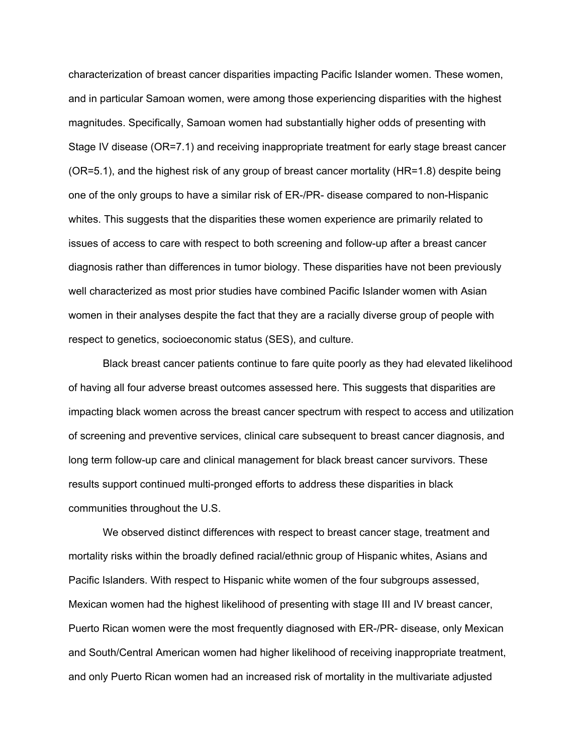characterization of breast cancer disparities impacting Pacific Islander women. These women, and in particular Samoan women, were among those experiencing disparities with the highest magnitudes. Specifically, Samoan women had substantially higher odds of presenting with Stage IV disease (OR=7.1) and receiving inappropriate treatment for early stage breast cancer (OR=5.1), and the highest risk of any group of breast cancer mortality (HR=1.8) despite being one of the only groups to have a similar risk of ER-/PR- disease compared to non-Hispanic whites. This suggests that the disparities these women experience are primarily related to issues of access to care with respect to both screening and follow-up after a breast cancer diagnosis rather than differences in tumor biology. These disparities have not been previously well characterized as most prior studies have combined Pacific Islander women with Asian women in their analyses despite the fact that they are a racially diverse group of people with respect to genetics, socioeconomic status (SES), and culture.

Black breast cancer patients continue to fare quite poorly as they had elevated likelihood of having all four adverse breast outcomes assessed here. This suggests that disparities are impacting black women across the breast cancer spectrum with respect to access and utilization of screening and preventive services, clinical care subsequent to breast cancer diagnosis, and long term follow-up care and clinical management for black breast cancer survivors. These results support continued multi-pronged efforts to address these disparities in black communities throughout the U.S.

We observed distinct differences with respect to breast cancer stage, treatment and mortality risks within the broadly defined racial/ethnic group of Hispanic whites, Asians and Pacific Islanders. With respect to Hispanic white women of the four subgroups assessed, Mexican women had the highest likelihood of presenting with stage III and IV breast cancer, Puerto Rican women were the most frequently diagnosed with ER-/PR- disease, only Mexican and South/Central American women had higher likelihood of receiving inappropriate treatment, and only Puerto Rican women had an increased risk of mortality in the multivariate adjusted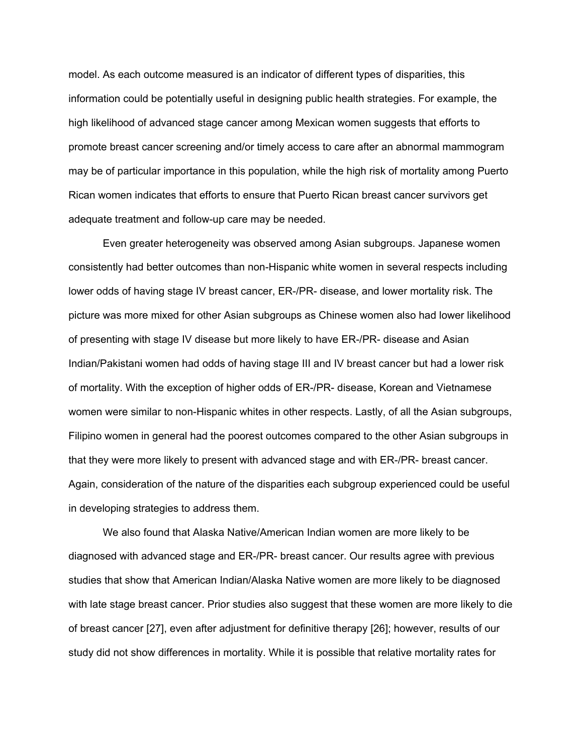model. As each outcome measured is an indicator of different types of disparities, this information could be potentially useful in designing public health strategies. For example, the high likelihood of advanced stage cancer among Mexican women suggests that efforts to promote breast cancer screening and/or timely access to care after an abnormal mammogram may be of particular importance in this population, while the high risk of mortality among Puerto Rican women indicates that efforts to ensure that Puerto Rican breast cancer survivors get adequate treatment and follow-up care may be needed.

Even greater heterogeneity was observed among Asian subgroups. Japanese women consistently had better outcomes than non-Hispanic white women in several respects including lower odds of having stage IV breast cancer, ER-/PR- disease, and lower mortality risk. The picture was more mixed for other Asian subgroups as Chinese women also had lower likelihood of presenting with stage IV disease but more likely to have ER-/PR- disease and Asian Indian/Pakistani women had odds of having stage III and IV breast cancer but had a lower risk of mortality. With the exception of higher odds of ER-/PR- disease, Korean and Vietnamese women were similar to non-Hispanic whites in other respects. Lastly, of all the Asian subgroups, Filipino women in general had the poorest outcomes compared to the other Asian subgroups in that they were more likely to present with advanced stage and with ER-/PR- breast cancer. Again, consideration of the nature of the disparities each subgroup experienced could be useful in developing strategies to address them.

We also found that Alaska Native/American Indian women are more likely to be diagnosed with advanced stage and ER-/PR- breast cancer. Our results agree with previous studies that show that American Indian/Alaska Native women are more likely to be diagnosed with late stage breast cancer. Prior studies also suggest that these women are more likely to die of breast cancer [27], even after adjustment for definitive therapy [26]; however, results of our study did not show differences in mortality. While it is possible that relative mortality rates for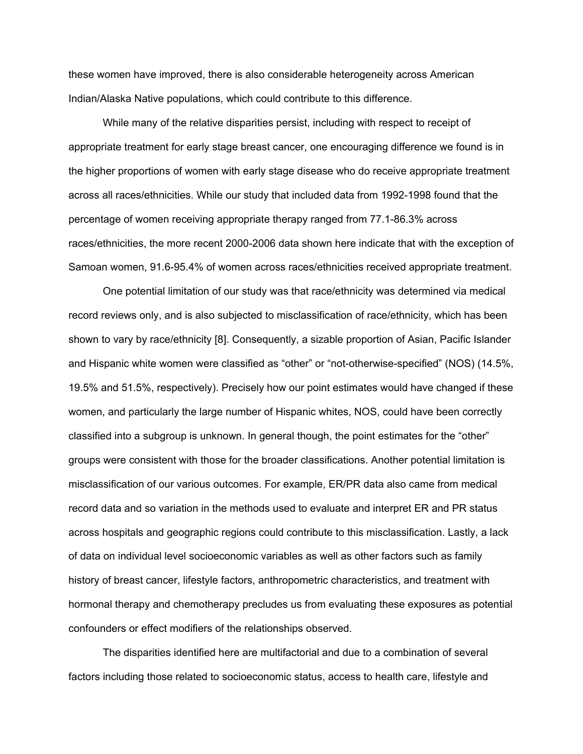these women have improved, there is also considerable heterogeneity across American Indian/Alaska Native populations, which could contribute to this difference.

While many of the relative disparities persist, including with respect to receipt of appropriate treatment for early stage breast cancer, one encouraging difference we found is in the higher proportions of women with early stage disease who do receive appropriate treatment across all races/ethnicities. While our study that included data from 1992-1998 found that the percentage of women receiving appropriate therapy ranged from 77.1-86.3% across races/ethnicities, the more recent 2000-2006 data shown here indicate that with the exception of Samoan women, 91.6-95.4% of women across races/ethnicities received appropriate treatment.

One potential limitation of our study was that race/ethnicity was determined via medical record reviews only, and is also subjected to misclassification of race/ethnicity, which has been shown to vary by race/ethnicity [8]. Consequently, a sizable proportion of Asian, Pacific Islander and Hispanic white women were classified as "other" or "not-otherwise-specified" (NOS) (14.5%, 19.5% and 51.5%, respectively). Precisely how our point estimates would have changed if these women, and particularly the large number of Hispanic whites, NOS, could have been correctly classified into a subgroup is unknown. In general though, the point estimates for the "other" groups were consistent with those for the broader classifications. Another potential limitation is misclassification of our various outcomes. For example, ER/PR data also came from medical record data and so variation in the methods used to evaluate and interpret ER and PR status across hospitals and geographic regions could contribute to this misclassification. Lastly, a lack of data on individual level socioeconomic variables as well as other factors such as family history of breast cancer, lifestyle factors, anthropometric characteristics, and treatment with hormonal therapy and chemotherapy precludes us from evaluating these exposures as potential confounders or effect modifiers of the relationships observed.

The disparities identified here are multifactorial and due to a combination of several factors including those related to socioeconomic status, access to health care, lifestyle and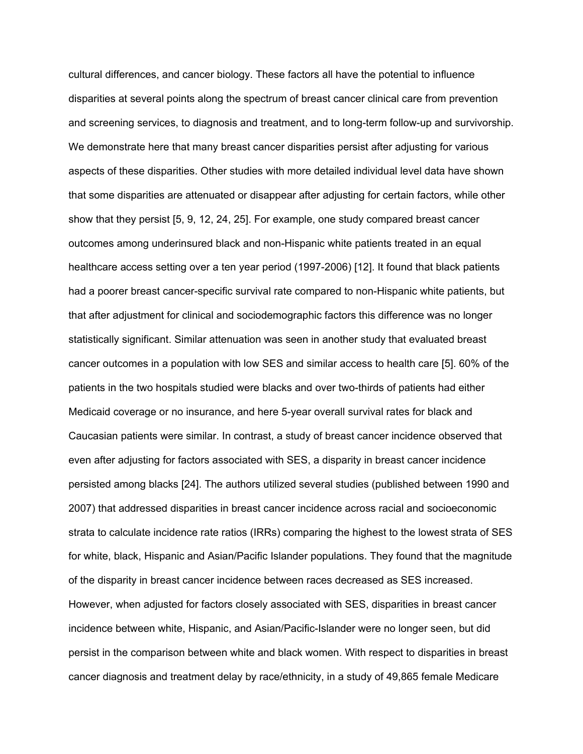cultural differences, and cancer biology. These factors all have the potential to influence disparities at several points along the spectrum of breast cancer clinical care from prevention and screening services, to diagnosis and treatment, and to long-term follow-up and survivorship. We demonstrate here that many breast cancer disparities persist after adjusting for various aspects of these disparities. Other studies with more detailed individual level data have shown that some disparities are attenuated or disappear after adjusting for certain factors, while other show that they persist [5, 9, 12, 24, 25]. For example, one study compared breast cancer outcomes among underinsured black and non-Hispanic white patients treated in an equal healthcare access setting over a ten year period (1997-2006) [12]. It found that black patients had a poorer breast cancer-specific survival rate compared to non-Hispanic white patients, but that after adjustment for clinical and sociodemographic factors this difference was no longer statistically significant. Similar attenuation was seen in another study that evaluated breast cancer outcomes in a population with low SES and similar access to health care [5]. 60% of the patients in the two hospitals studied were blacks and over two-thirds of patients had either Medicaid coverage or no insurance, and here 5-year overall survival rates for black and Caucasian patients were similar. In contrast, a study of breast cancer incidence observed that even after adjusting for factors associated with SES, a disparity in breast cancer incidence persisted among blacks [24]. The authors utilized several studies (published between 1990 and 2007) that addressed disparities in breast cancer incidence across racial and socioeconomic strata to calculate incidence rate ratios (IRRs) comparing the highest to the lowest strata of SES for white, black, Hispanic and Asian/Pacific Islander populations. They found that the magnitude of the disparity in breast cancer incidence between races decreased as SES increased. However, when adjusted for factors closely associated with SES, disparities in breast cancer incidence between white, Hispanic, and Asian/Pacific-Islander were no longer seen, but did persist in the comparison between white and black women. With respect to disparities in breast cancer diagnosis and treatment delay by race/ethnicity, in a study of 49,865 female Medicare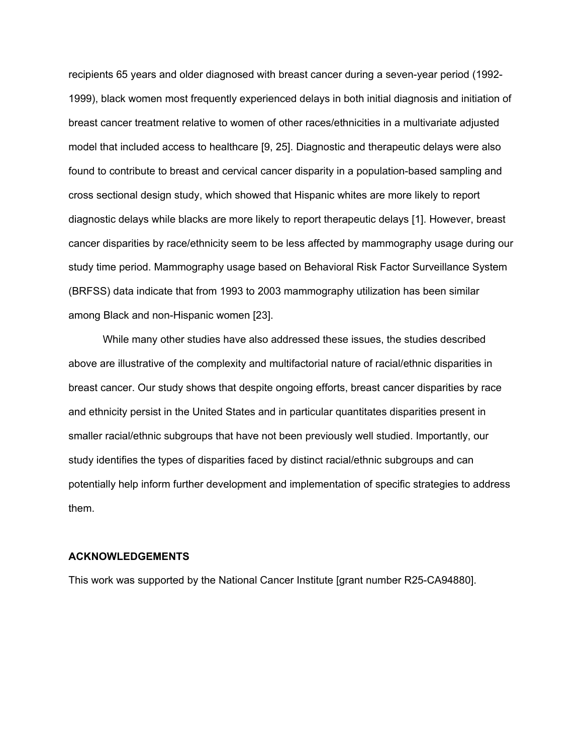recipients 65 years and older diagnosed with breast cancer during a seven-year period (1992- 1999), black women most frequently experienced delays in both initial diagnosis and initiation of breast cancer treatment relative to women of other races/ethnicities in a multivariate adjusted model that included access to healthcare [9, 25]. Diagnostic and therapeutic delays were also found to contribute to breast and cervical cancer disparity in a population-based sampling and cross sectional design study, which showed that Hispanic whites are more likely to report diagnostic delays while blacks are more likely to report therapeutic delays [1]. However, breast cancer disparities by race/ethnicity seem to be less affected by mammography usage during our study time period. Mammography usage based on Behavioral Risk Factor Surveillance System (BRFSS) data indicate that from 1993 to 2003 mammography utilization has been similar among Black and non-Hispanic women [23].

While many other studies have also addressed these issues, the studies described above are illustrative of the complexity and multifactorial nature of racial/ethnic disparities in breast cancer. Our study shows that despite ongoing efforts, breast cancer disparities by race and ethnicity persist in the United States and in particular quantitates disparities present in smaller racial/ethnic subgroups that have not been previously well studied. Importantly, our study identifies the types of disparities faced by distinct racial/ethnic subgroups and can potentially help inform further development and implementation of specific strategies to address them.

#### **ACKNOWLEDGEMENTS**

This work was supported by the National Cancer Institute [grant number R25-CA94880].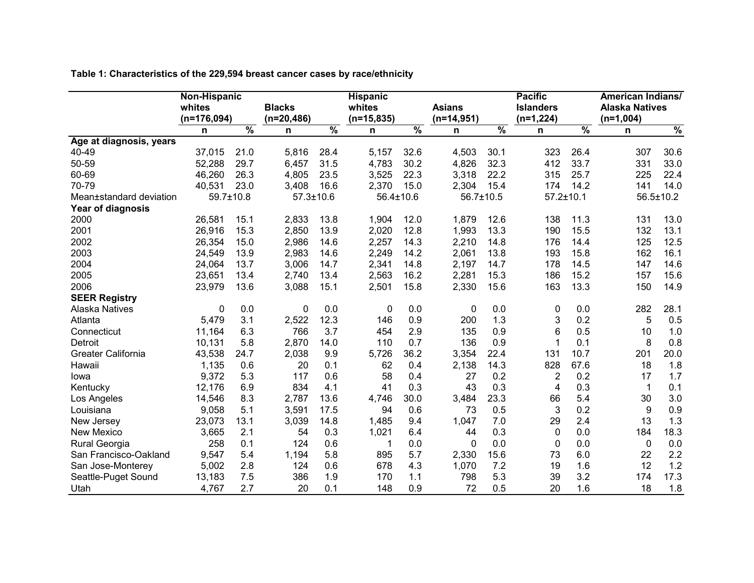**Table 1: Characteristics of the 229,594 breast cancer cases by race/ethnicity**

|                         | Non-Hispanic  |               |                 |                 | <b>Hispanic</b> |                 |               |               | <b>Pacific</b>   |                 | <b>American Indians/</b> |                 |  |
|-------------------------|---------------|---------------|-----------------|-----------------|-----------------|-----------------|---------------|---------------|------------------|-----------------|--------------------------|-----------------|--|
|                         | whites        |               | <b>Blacks</b>   |                 | whites          |                 | <b>Asians</b> |               | <b>Islanders</b> |                 | <b>Alaska Natives</b>    |                 |  |
|                         | $(n=176,094)$ |               | $(n=20, 486)$   |                 | $(n=15,835)$    |                 |               | $(n=14,951)$  |                  | $(n=1,224)$     |                          | $(n=1,004)$     |  |
|                         | n             | $\frac{9}{6}$ | n               | $\overline{\%}$ | n               | $\overline{\%}$ | n             | $\frac{9}{6}$ | n                | $\overline{\%}$ | n                        | $\frac{0}{2}$   |  |
| Age at diagnosis, years |               |               |                 |                 |                 |                 |               |               |                  |                 |                          |                 |  |
| 40-49                   | 37,015        | 21.0          | 5,816           | 28.4            | 5,157           | 32.6            | 4,503         | 30.1          | 323              | 26.4            | 307                      | 30.6            |  |
| 50-59                   | 52,288        | 29.7          | 6,457           | 31.5            | 4,783           | 30.2            | 4,826         | 32.3          | 412              | 33.7            | 331                      | 33.0            |  |
| 60-69                   | 46,260        | 26.3          | 4,805           | 23.5            | 3,525           | 22.3            | 3,318         | 22.2          | 315              | 25.7            | 225                      | 22.4            |  |
| 70-79                   | 40,531        | 23.0          | 3,408           | 16.6            | 2,370           | 15.0            | 2,304         | 15.4          | 174              | 14.2            | 141                      | 14.0            |  |
| Mean±standard deviation |               | 59.7±10.8     | $57.3 \pm 10.6$ |                 | 56.4±10.6       |                 | 56.7±10.5     |               |                  | $57.2 \pm 10.1$ |                          | $56.5 \pm 10.2$ |  |
| Year of diagnosis       |               |               |                 |                 |                 |                 |               |               |                  |                 |                          |                 |  |
| 2000                    | 26,581        | 15.1          | 2,833           | 13.8            | 1,904           | 12.0            | 1,879         | 12.6          | 138              | 11.3            | 131                      | 13.0            |  |
| 2001                    | 26,916        | 15.3          | 2,850           | 13.9            | 2,020           | 12.8            | 1,993         | 13.3          | 190              | 15.5            | 132                      | 13.1            |  |
| 2002                    | 26,354        | 15.0          | 2,986           | 14.6            | 2,257           | 14.3            | 2,210         | 14.8          | 176              | 14.4            | 125                      | 12.5            |  |
| 2003                    | 24,549        | 13.9          | 2,983           | 14.6            | 2,249           | 14.2            | 2,061         | 13.8          | 193              | 15.8            | 162                      | 16.1            |  |
| 2004                    | 24,064        | 13.7          | 3,006           | 14.7            | 2,341           | 14.8            | 2,197         | 14.7          | 178              | 14.5            | 147                      | 14.6            |  |
| 2005                    | 23,651        | 13.4          | 2,740           | 13.4            | 2,563           | 16.2            | 2,281         | 15.3          | 186              | 15.2            | 157                      | 15.6            |  |
| 2006                    | 23,979        | 13.6          | 3,088           | 15.1            | 2,501           | 15.8            | 2,330         | 15.6          | 163              | 13.3            | 150                      | 14.9            |  |
| <b>SEER Registry</b>    |               |               |                 |                 |                 |                 |               |               |                  |                 |                          |                 |  |
| <b>Alaska Natives</b>   | $\mathbf 0$   | 0.0           | $\mathbf 0$     | 0.0             | 0               | 0.0             | 0             | 0.0           | 0                | 0.0             | 282                      | 28.1            |  |
| Atlanta                 | 5,479         | 3.1           | 2,522           | 12.3            | 146             | 0.9             | 200           | 1.3           | 3                | 0.2             | 5                        | 0.5             |  |
| Connecticut             | 11,164        | 6.3           | 766             | 3.7             | 454             | 2.9             | 135           | 0.9           | 6                | 0.5             | 10                       | 1.0             |  |
| Detroit                 | 10,131        | 5.8           | 2,870           | 14.0            | 110             | 0.7             | 136           | 0.9           | 1                | 0.1             | 8                        | 0.8             |  |
| Greater California      | 43,538        | 24.7          | 2,038           | 9.9             | 5,726           | 36.2            | 3,354         | 22.4          | 131              | 10.7            | 201                      | 20.0            |  |
| Hawaii                  | 1,135         | 0.6           | 20              | 0.1             | 62              | 0.4             | 2,138         | 14.3          | 828              | 67.6            | 18                       | 1.8             |  |
| lowa                    | 9,372         | 5.3           | 117             | 0.6             | 58              | 0.4             | 27            | 0.2           | 2                | 0.2             | 17                       | 1.7             |  |
| Kentucky                | 12,176        | 6.9           | 834             | 4.1             | 41              | 0.3             | 43            | 0.3           | 4                | 0.3             | $\mathbf{1}$             | 0.1             |  |
| Los Angeles             | 14,546        | 8.3           | 2,787           | 13.6            | 4,746           | 30.0            | 3,484         | 23.3          | 66               | 5.4             | 30                       | 3.0             |  |
| Louisiana               | 9,058         | 5.1           | 3,591           | 17.5            | 94              | 0.6             | 73            | 0.5           | 3                | 0.2             | 9                        | 0.9             |  |
| New Jersey              | 23,073        | 13.1          | 3,039           | 14.8            | 1,485           | 9.4             | 1,047         | 7.0           | 29               | 2.4             | 13                       | 1.3             |  |
| New Mexico              | 3,665         | 2.1           | 54              | 0.3             | 1,021           | 6.4             | 44            | 0.3           | 0                | 0.0             | 184                      | 18.3            |  |
| Rural Georgia           | 258           | 0.1           | 124             | 0.6             | 1               | 0.0             | $\Omega$      | 0.0           | $\Omega$         | 0.0             | $\mathbf{0}$             | 0.0             |  |
| San Francisco-Oakland   | 9,547         | 5.4           | 1,194           | 5.8             | 895             | 5.7             | 2,330         | 15.6          | 73               | 6.0             | 22                       | 2.2             |  |
| San Jose-Monterey       | 5,002         | 2.8           | 124             | 0.6             | 678             | 4.3             | 1,070         | 7.2           | 19               | 1.6             | 12                       | 1.2             |  |
| Seattle-Puget Sound     | 13,183        | 7.5           | 386             | 1.9             | 170             | 1.1             | 798           | 5.3           | 39               | 3.2             | 174                      | 17.3            |  |
| Utah                    | 4,767         | 2.7           | 20              | 0.1             | 148             | 0.9             | 72            | 0.5           | 20               | 1.6             | 18                       | 1.8             |  |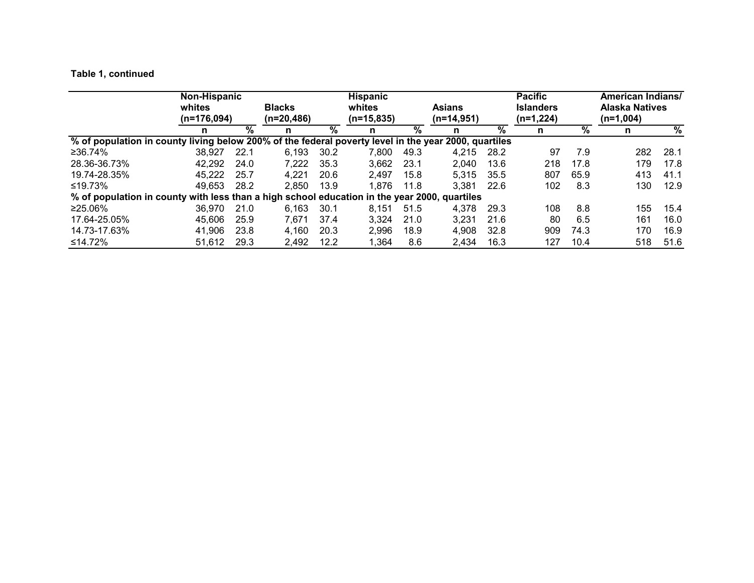# **Table 1, continued**

|                                                                                                      | Non-Hispanic<br>whites<br>$(n=176,094)$ |                 | <b>Blacks</b><br>$(n=20,486)$ |                 | <b>Hispanic</b><br>whites<br><b>Asians</b><br>$(n=15,835)$<br>$(n=14,951)$ |                 | <b>Pacific</b><br><b>Islanders</b><br>$(n=1,224)$ |                 |     | <b>American Indians/</b><br><b>Alaska Natives</b><br>$(n=1,004)$ |     |                 |
|------------------------------------------------------------------------------------------------------|-----------------------------------------|-----------------|-------------------------------|-----------------|----------------------------------------------------------------------------|-----------------|---------------------------------------------------|-----------------|-----|------------------------------------------------------------------|-----|-----------------|
|                                                                                                      | n                                       | $\overline{\%}$ | n                             | $\overline{\%}$ | n                                                                          | $\overline{\%}$ | n                                                 | $\overline{\%}$ | n   | $\overline{\%}$                                                  | n   | $\overline{\%}$ |
| % of population in county living below 200% of the federal poverty level in the year 2000, quartiles |                                         |                 |                               |                 |                                                                            |                 |                                                   |                 |     |                                                                  |     |                 |
| ≥36.74%                                                                                              | 38.927                                  | 22.1            | 6,193                         | 30.2            | 7,800                                                                      | 49.3            | 4.215                                             | 28.2            | 97  | 7.9                                                              | 282 | 28.1            |
| 28.36-36.73%                                                                                         | 42,292                                  | 24.0            | 7,222                         | 35.3            | 3,662                                                                      | 23.1            | 2,040                                             | 13.6            | 218 | 17.8                                                             | 179 | 17.8            |
| 19.74-28.35%                                                                                         | 45.222                                  | 25.7            | 4.221                         | 20.6            | 2.497                                                                      | 15.8            | 5.315                                             | 35.5            | 807 | 65.9                                                             | 413 | 41.1            |
| ≤19.73%                                                                                              | 49.653                                  | 28.2            | 2.850                         | 13.9            | 1,876                                                                      | 11.8            | 3,381                                             | 22.6            | 102 | 8.3                                                              | 130 | 12.9            |
| % of population in county with less than a high school education in the year 2000, quartiles         |                                         |                 |                               |                 |                                                                            |                 |                                                   |                 |     |                                                                  |     |                 |
| ≥25.06%                                                                                              | 36.970                                  | 21.0            | 6.163                         | 30.1            | 8.151                                                                      | 51.5            | 4.378                                             | 29.3            | 108 | 8.8                                                              | 155 | 15.4            |
| 17.64-25.05%                                                                                         | 45,606                                  | 25.9            | 7,671                         | 37.4            | 3,324                                                                      | 21.0            | 3,231                                             | 21.6            | 80  | 6.5                                                              | 161 | 16.0            |
| 14.73-17.63%                                                                                         | 41,906                                  | 23.8            | 4,160                         | 20.3            | 2,996                                                                      | 18.9            | 4,908                                             | 32.8            | 909 | 74.3                                                             | 170 | 16.9            |
| ≤14.72%                                                                                              | 51,612                                  | 29.3            | 2.492                         | 12.2            | 1,364                                                                      | 8.6             | 2,434                                             | 16.3            | 127 | 10.4                                                             | 518 | 51.6            |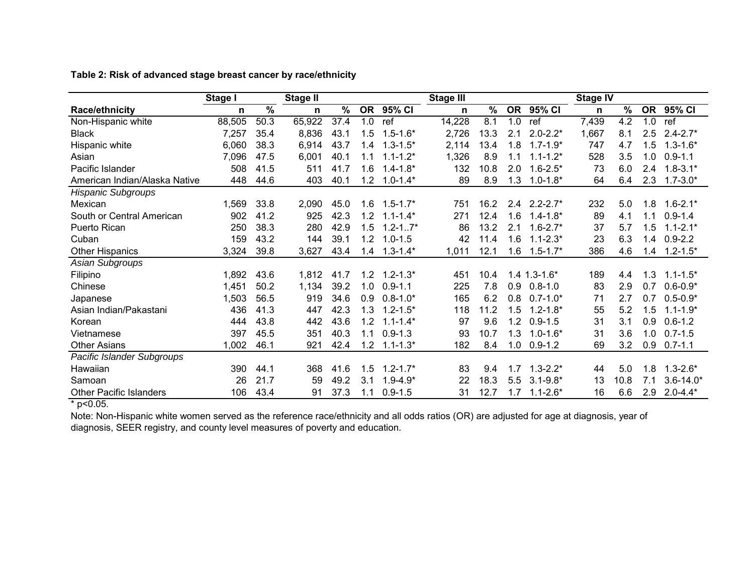|                                | Stage I |      | <b>Stage II</b> |      |               |                 | <b>Stage III</b> |      |               |                | <b>Stage IV</b> |               |                 |               |
|--------------------------------|---------|------|-----------------|------|---------------|-----------------|------------------|------|---------------|----------------|-----------------|---------------|-----------------|---------------|
| Race/ethnicity                 | n       | $\%$ | n               | %    | <b>OR</b>     | $95\sqrt{6}$ CI | n                | $\%$ | <b>OR</b>     | 95% CI         | n               | $\frac{0}{0}$ | <b>OR</b>       | 95% CI        |
| Non-Hispanic white             | 88,505  | 50.3 | 65,922          | 37.4 | 1.0           | ref             | 14,228           | 8.1  | 1.0           | ref            | 7,439           | 4.2           | 1.0             | ref           |
| <b>Black</b>                   | 7,257   | 35.4 | 8,836           | 43.1 | 1.5           | $1.5 - 1.6*$    | 2,726            | 13.3 | 2.1           | $2.0 - 2.2*$   | 1,667           | 8.1           | $2.5\,$         | $2.4 - 2.7*$  |
| Hispanic white                 | 6,060   | 38.3 | 6,914           | 43.7 | 1.4           | $1.3 - 1.5*$    | 2,114            | 13.4 | 1.8           | $1.7 - 1.9*$   | 747             | 4.7           | 1.5             | $1.3 - 1.6*$  |
| Asian                          | 7,096   | 47.5 | 6,001           | 40.1 | 1.1           | $1.1 - 1.2*$    | 1,326            | 8.9  | 1.1           | $1.1 - 1.2*$   | 528             | 3.5           | 1.0             | $0.9 - 1.1$   |
| Pacific Islander               | 508     | 41.5 | 511             | 41.7 | 1.6           | $1.4 - 1.8*$    | 132              | 10.8 | 2.0           | $1.6 - 2.5*$   | 73              | 6.0           | 2.4             | $1.8 - 3.1*$  |
| American Indian/Alaska Native  | 448     | 44.6 | 403             | 40.1 | 1.2           | $1.0 - 1.4*$    | 89               | 8.9  | 1.3           | $1.0 - 1.8*$   | 64              | 6.4           | 2.3             | $1.7 - 3.0*$  |
| <b>Hispanic Subgroups</b>      |         |      |                 |      |               |                 |                  |      |               |                |                 |               |                 |               |
| Mexican                        | 1,569   | 33.8 | 2,090           | 45.0 | 1.6           | $1.5 - 1.7*$    | 751              | 16.2 | $2.4^{\circ}$ | $2.2 - 2.7*$   | 232             | 5.0           | 1.8             | $1.6 - 2.1*$  |
| South or Central American      | 902     | 41.2 | 925             | 42.3 | 1.2           | $1.1 - 1.4*$    | 271              | 12.4 | 1.6           | $1.4 - 1.8*$   | 89              | 4.1           | 1.1             | $0.9 - 1.4$   |
| Puerto Rican                   | 250     | 38.3 | 280             | 42.9 | 1.5           | $1.2 - 1.7*$    | 86               | 13.2 | 2.1           | $1.6 - 2.7*$   | 37              | 5.7           | 1.5             | $1.1 - 2.1*$  |
| Cuban                          | 159     | 43.2 | 144             | 39.1 | 1.2           | $1.0 - 1.5$     | 42               | 11.4 | 1.6           | $1.1 - 2.3*$   | 23              | 6.3           | 1.4             | $0.9 - 2.2$   |
| <b>Other Hispanics</b>         | 3,324   | 39.8 | 3,627           | 43.4 | $\mathcal{A}$ | $1.3 - 1.4*$    | 1,011            | 12.1 | 1.6           | $1.5 - 1.7*$   | 386             | 4.6           | $\overline{.4}$ | $1.2 - 1.5*$  |
| Asian Subgroups                |         |      |                 |      |               |                 |                  |      |               |                |                 |               |                 |               |
| Filipino                       | 1,892   | 43.6 | 1,812           | 41.7 | $1.2^{\circ}$ | $1.2 - 1.3*$    | 451              | 10.4 |               | $1.4$ 1.3-1.6* | 189             | 4.4           | 1.3             | $1.1 - 1.5^*$ |
| Chinese                        | 1,451   | 50.2 | 1,134           | 39.2 | 1.0           | $0.9 - 1.1$     | 225              | 7.8  | 0.9           | $0.8 - 1.0$    | 83              | 2.9           | 0.7             | $0.6 - 0.9*$  |
| Japanese                       | 1,503   | 56.5 | 919             | 34.6 | 0.9           | $0.8 - 1.0*$    | 165              | 6.2  | 0.8           | $0.7 - 1.0*$   | 71              | 2.7           | 0.7             | $0.5 - 0.9*$  |
| Asian Indian/Pakastani         | 436     | 41.3 | 447             | 42.3 | 1.3           | $1.2 - 1.5*$    | 118              | 11.2 | 1.5           | $1.2 - 1.8*$   | 55              | 5.2           | 1.5             | $1.1 - 1.9*$  |
| Korean                         | 444     | 43.8 | 442             | 43.6 | 1.2           | $1.1 - 1.4*$    | 97               | 9.6  | 1.2           | $0.9 - 1.5$    | 31              | 3.1           | 0.9             | $0.6 - 1.2$   |
| Vietnamese                     | 397     | 45.5 | 351             | 40.3 | 1.1           | $0.9 - 1.3$     | 93               | 10.7 | 1.3           | $1.0 - 1.6*$   | 31              | 3.6           | 1.0             | $0.7 - 1.5$   |
| <b>Other Asians</b>            | 1,002   | 46.1 | 921             | 42.4 | 1.2           | $1.1 - 1.3*$    | 182              | 8.4  | 1.0           | $0.9 - 1.2$    | 69              | 3.2           | 0.9             | $0.7 - 1.1$   |
| Pacific Islander Subgroups     |         |      |                 |      |               |                 |                  |      |               |                |                 |               |                 |               |
| Hawaiian                       | 390     | 44.1 | 368             | 41.6 | 1.5           | $1.2 - 1.7*$    | 83               | 9.4  | 1.7           | $1.3 - 2.2*$   | 44              | 5.0           | 1.8             | $1.3 - 2.6*$  |
| Samoan                         | 26      | 21.7 | 59              | 49.2 | 3.1           | $1.9 - 4.9*$    | 22               | 18.3 | 5.5           | $3.1 - 9.8*$   | 13              | 10.8          | 7.1             | $3.6 - 14.0*$ |
| <b>Other Pacific Islanders</b> | 106     | 43.4 | 91              | 37.3 | 1.1           | $0.9 - 1.5$     | 31               | 12.7 | 1.7           | $1.1 - 2.6*$   | 16              | 6.6           | 2.9             | $2.0 - 4.4*$  |

**Table 2: Risk of advanced stage breast cancer by race/ethnicity**

 $*$  p<0.05.

Note: Non-Hispanic white women served as the reference race/ethnicity and all odds ratios (OR) are adjusted for age at diagnosis, year of diagnosis, SEER registry, and county level measures of poverty and education.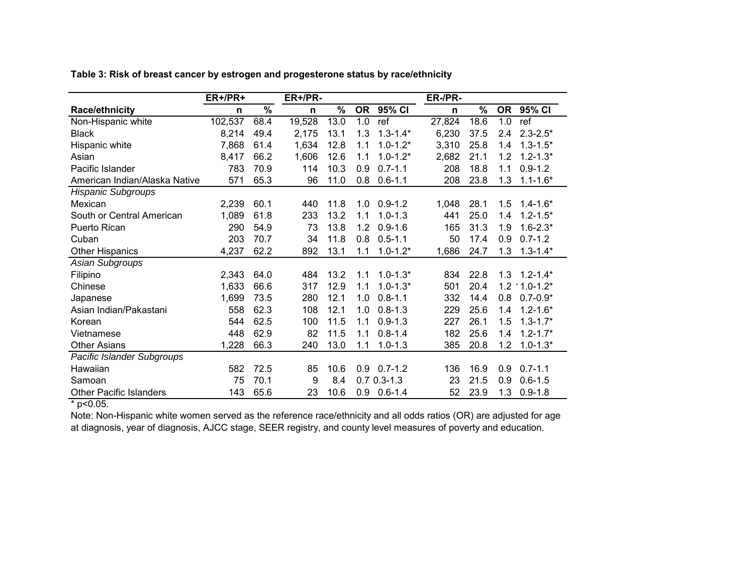|                                | ER+/PR+ |                          | ER+/PR- |      |           |                 | ER-/PR- |                          |           |               |
|--------------------------------|---------|--------------------------|---------|------|-----------|-----------------|---------|--------------------------|-----------|---------------|
| Race/ethnicity                 | n       | $\overline{\frac{9}{6}}$ | n       | %    | <b>OR</b> | 95% CI          | n       | $\overline{\frac{9}{6}}$ | <b>OR</b> | 95% CI        |
| Non-Hispanic white             | 102,537 | 68.4                     | 19,528  | 13.0 | 1.0       | ref             | 27,824  | 18.6                     | 1.0       | ref           |
| <b>Black</b>                   | 8,214   | 49.4                     | 2,175   | 13.1 | 1.3       | $1.3 - 1.4*$    | 6,230   | 37.5                     | 2.4       | $2.3 - 2.5*$  |
| Hispanic white                 | 7,868   | 61.4                     | 1,634   | 12.8 | 1.1       | $1.0 - 1.2*$    | 3,310   | 25.8                     | 1.4       | $1.3 - 1.5*$  |
| Asian                          | 8,417   | 66.2                     | 1,606   | 12.6 | 1.1       | $1.0 - 1.2*$    | 2,682   | 21.1                     | 1.2       | $1.2 - 1.3*$  |
| Pacific Islander               | 783     | 70.9                     | 114     | 10.3 | 0.9       | $0.7 - 1.1$     | 208     | 18.8                     | 1.1       | $0.9 - 1.2$   |
| American Indian/Alaska Native  | 571     | 65.3                     | 96      | 11.0 | 0.8       | $0.6 - 1.1$     | 208     | 23.8                     | 1.3       | $1.1 - 1.6*$  |
| <b>Hispanic Subgroups</b>      |         |                          |         |      |           |                 |         |                          |           |               |
| Mexican                        | 2,239   | 60.1                     | 440     | 11.8 | 1.0       | $0.9 - 1.2$     | 1,048   | 28.1                     | 1.5       | $1.4 - 1.6*$  |
| South or Central American      | 1,089   | 61.8                     | 233     | 13.2 | 1.1       | $1.0 - 1.3$     | 441     | 25.0                     | 1.4       | $1.2 - 1.5*$  |
| Puerto Rican                   | 290     | 54.9                     | 73      | 13.8 | 1.2       | $0.9 - 1.6$     | 165     | 31.3                     | 1.9       | $1.6 - 2.3*$  |
| Cuban                          | 203     | 70.7                     | 34      | 11.8 | 0.8       | $0.5 - 1.1$     | 50      | 17.4                     | 0.9       | $0.7 - 1.2$   |
| <b>Other Hispanics</b>         | 4,237   | 62.2                     | 892     | 13.1 | 1.1       | $1.0 - 1.2*$    | 1,686   | 24.7                     | 1.3       | $1.3 - 1.4*$  |
| Asian Subgroups                |         |                          |         |      |           |                 |         |                          |           |               |
| Filipino                       | 2,343   | 64.0                     | 484     | 13.2 | 1.1       | $1.0 - 1.3*$    | 834     | 22.8                     | 1.3       | $1.2 - 1.4*$  |
| Chinese                        | 1,633   | 66.6                     | 317     | 12.9 | 1.1       | $1.0 - 1.3*$    | 501     | 20.4                     | 1.2       | $.1.0 - 1.2*$ |
| Japanese                       | 1,699   | 73.5                     | 280     | 12.1 | 1.0       | $0.8 - 1.1$     | 332     | 14.4                     | 0.8       | $0.7 - 0.9*$  |
| Asian Indian/Pakastani         | 558     | 62.3                     | 108     | 12.1 | 1.0       | $0.8 - 1.3$     | 229     | 25.6                     | 1.4       | $1.2 - 1.6*$  |
| Korean                         | 544     | 62.5                     | 100     | 11.5 | 1.1       | $0.9 - 1.3$     | 227     | 26.1                     | 1.5       | $1.3 - 1.7*$  |
| Vietnamese                     | 448     | 62.9                     | 82      | 11.5 | 1.1       | $0.8 - 1.4$     | 182     | 25.6                     | 1.4       | $1.2 - 1.7*$  |
| <b>Other Asians</b>            | 1,228   | 66.3                     | 240     | 13.0 | 1.1       | $1.0 - 1.3$     | 385     | 20.8                     | 1.2       | $1.0 - 1.3*$  |
| Pacific Islander Subgroups     |         |                          |         |      |           |                 |         |                          |           |               |
| Hawaiian                       | 582     | 72.5                     | 85      | 10.6 | 0.9       | $0.7 - 1.2$     | 136     | 16.9                     | 0.9       | $0.7 - 1.1$   |
| Samoan                         | 75      | 70.1                     | 9       | 8.4  |           | $0.7 0.3 - 1.3$ | 23      | 21.5                     | 0.9       | $0.6 - 1.5$   |
| <b>Other Pacific Islanders</b> | 143     | 65.6                     | 23      | 10.6 | 0.9       | $0.6 - 1.4$     | 52      | 23.9                     | 1.3       | $0.9 - 1.8$   |

**Table 3: Risk of breast cancer by estrogen and progesterone status by race/ethnicity**

 $*$  p<0.05.

Note: Non-Hispanic white women served as the reference race/ethnicity and all odds ratios (OR) are adjusted for age at diagnosis, year of diagnosis, AJCC stage, SEER registry, and county level measures of poverty and education.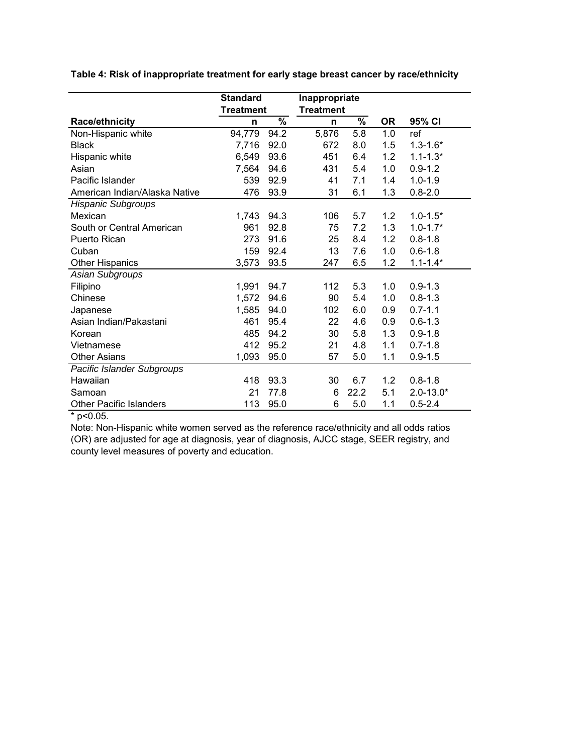**Table 4: Risk of inappropriate treatment for early stage breast cancer by race/ethnicity**

|                                | <b>Standard</b>  |      | Inappropriate    |      |           |               |
|--------------------------------|------------------|------|------------------|------|-----------|---------------|
|                                | <b>Treatment</b> |      | <b>Treatment</b> |      |           |               |
| <b>Race/ethnicity</b>          | n                | $\%$ | n                | ℅    | <b>OR</b> | 95% CI        |
| Non-Hispanic white             | 94,779           | 94.2 | 5,876            | 5.8  | 1.0       | ref           |
| <b>Black</b>                   | 7,716            | 92.0 | 672              | 8.0  | 1.5       | $1.3 - 1.6*$  |
| Hispanic white                 | 6,549            | 93.6 | 451              | 6.4  | 1.2       | $1.1 - 1.3*$  |
| Asian                          | 7,564            | 94.6 | 431              | 5.4  | 1.0       | $0.9 - 1.2$   |
| Pacific Islander               | 539              | 92.9 | 41               | 7.1  | 1.4       | $1.0 - 1.9$   |
| American Indian/Alaska Native  | 476              | 93.9 | 31               | 6.1  | 1.3       | $0.8 - 2.0$   |
| <b>Hispanic Subgroups</b>      |                  |      |                  |      |           |               |
| Mexican                        | 1,743            | 94.3 | 106              | 5.7  | 1.2       | $1.0 - 1.5*$  |
| South or Central American      | 961              | 92.8 | 75               | 7.2  | 1.3       | $1.0 - 1.7*$  |
| Puerto Rican                   | 273              | 91.6 | 25               | 8.4  | 1.2       | $0.8 - 1.8$   |
| Cuban                          | 159              | 92.4 | 13               | 7.6  | 1.0       | $0.6 - 1.8$   |
| <b>Other Hispanics</b>         | 3,573            | 93.5 | 247              | 6.5  | 1.2       | $1.1 - 1.4*$  |
| Asian Subgroups                |                  |      |                  |      |           |               |
| Filipino                       | 1,991            | 94.7 | 112              | 5.3  | 1.0       | $0.9 - 1.3$   |
| Chinese                        | 1,572            | 94.6 | 90               | 5.4  | 1.0       | $0.8 - 1.3$   |
| Japanese                       | 1,585            | 94.0 | 102              | 6.0  | 0.9       | $0.7 - 1.1$   |
| Asian Indian/Pakastani         | 461              | 95.4 | 22               | 4.6  | 0.9       | $0.6 - 1.3$   |
| Korean                         | 485              | 94.2 | 30               | 5.8  | 1.3       | $0.9 - 1.8$   |
| Vietnamese                     | 412              | 95.2 | 21               | 4.8  | 1.1       | $0.7 - 1.8$   |
| <b>Other Asians</b>            | 1,093            | 95.0 | 57               | 5.0  | 1.1       | $0.9 - 1.5$   |
| Pacific Islander Subgroups     |                  |      |                  |      |           |               |
| Hawaiian                       | 418              | 93.3 | 30               | 6.7  | 1.2       | $0.8 - 1.8$   |
| Samoan                         | 21               | 77.8 | 6                | 22.2 | 5.1       | $2.0 - 13.0*$ |
| <b>Other Pacific Islanders</b> | 113              | 95.0 | 6                | 5.0  | 1.1       | $0.5 - 2.4$   |

 $*$  p<0.05.

Note: Non-Hispanic white women served as the reference race/ethnicity and all odds ratios (OR) are adjusted for age at diagnosis, year of diagnosis, AJCC stage, SEER registry, and county level measures of poverty and education.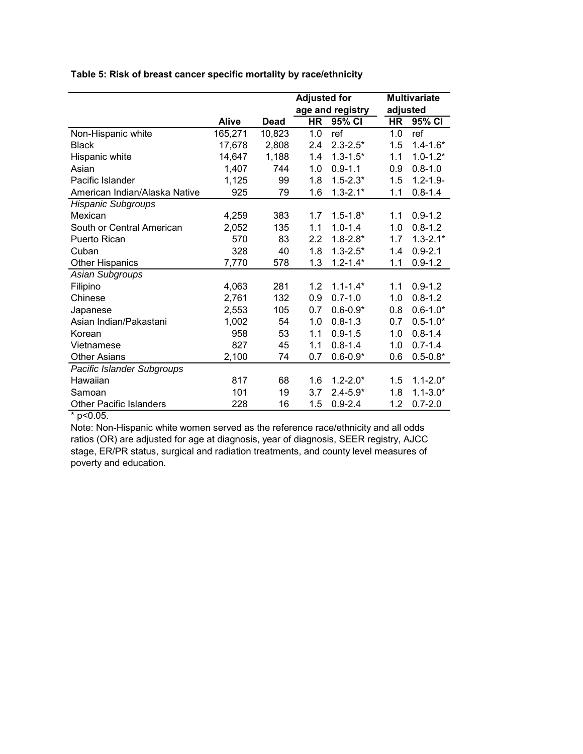**Table 5: Risk of breast cancer specific mortality by race/ethnicity**

|                                |              |        | <b>Adjusted for</b> |                  |          | <b>Multivariate</b> |
|--------------------------------|--------------|--------|---------------------|------------------|----------|---------------------|
|                                |              |        |                     | age and registry | adjusted |                     |
|                                | <b>Alive</b> | Dead   | HR                  | 95% CI           | HR       | 95% CI              |
| Non-Hispanic white             | 165,271      | 10,823 | 1.0                 | ref              | 1.0      | ref                 |
| <b>Black</b>                   | 17,678       | 2,808  | 2.4                 | $2.3 - 2.5*$     | 1.5      | $1.4 - 1.6*$        |
| Hispanic white                 | 14,647       | 1,188  | 1.4                 | $1.3 - 1.5*$     | 1.1      | $1.0 - 1.2*$        |
| Asian                          | 1,407        | 744    | 1.0                 | $0.9 - 1.1$      | 0.9      | $0.8 - 1.0$         |
| Pacific Islander               | 1,125        | 99     | 1.8                 | $1.5 - 2.3*$     | 1.5      | $1.2 - 1.9 -$       |
| American Indian/Alaska Native  | 925          | 79     | 1.6                 | $1.3 - 2.1*$     | 1.1      | $0.8 - 1.4$         |
| <b>Hispanic Subgroups</b>      |              |        |                     |                  |          |                     |
| Mexican                        | 4,259        | 383    | 1.7                 | $1.5 - 1.8*$     | 1.1      | $0.9 - 1.2$         |
| South or Central American      | 2,052        | 135    | 1.1                 | $1.0 - 1.4$      | 1.0      | $0.8 - 1.2$         |
| Puerto Rican                   | 570          | 83     | 2.2                 | $1.8 - 2.8*$     | 1.7      | $1.3 - 2.1*$        |
| Cuban                          | 328          | 40     | 1.8                 | $1.3 - 2.5*$     | 1.4      | $0.9 - 2.1$         |
| <b>Other Hispanics</b>         | 7,770        | 578    | 1.3                 | $1.2 - 1.4*$     | 1.1      | $0.9 - 1.2$         |
| Asian Subgroups                |              |        |                     |                  |          |                     |
| Filipino                       | 4,063        | 281    | 1.2                 | $1.1 - 1.4*$     | 1.1      | $0.9 - 1.2$         |
| Chinese                        | 2,761        | 132    | 0.9                 | $0.7 - 1.0$      | 1.0      | $0.8 - 1.2$         |
| Japanese                       | 2,553        | 105    | 0.7                 | $0.6 - 0.9*$     | 0.8      | $0.6 - 1.0*$        |
| Asian Indian/Pakastani         | 1,002        | 54     | 1.0                 | $0.8 - 1.3$      | 0.7      | $0.5 - 1.0*$        |
| Korean                         | 958          | 53     | 1.1                 | $0.9 - 1.5$      | 1.0      | $0.8 - 1.4$         |
| Vietnamese                     | 827          | 45     | 1.1                 | $0.8 - 1.4$      | 1.0      | $0.7 - 1.4$         |
| <b>Other Asians</b>            | 2,100        | 74     | 0.7                 | $0.6 - 0.9*$     | 0.6      | $0.5 - 0.8*$        |
| Pacific Islander Subgroups     |              |        |                     |                  |          |                     |
| Hawaiian                       | 817          | 68     | 1.6                 | $1.2 - 2.0*$     | 1.5      | $1.1 - 2.0*$        |
| Samoan                         | 101          | 19     | 3.7                 | $2.4 - 5.9*$     | 1.8      | $1.1 - 3.0*$        |
| <b>Other Pacific Islanders</b> | 228          | 16     | 1.5                 | $0.9 - 2.4$      | 1.2      | $0.7 - 2.0$         |

 $*$  p<0.05.

Note: Non-Hispanic white women served as the reference race/ethnicity and all odds ratios (OR) are adjusted for age at diagnosis, year of diagnosis, SEER registry, AJCC stage, ER/PR status, surgical and radiation treatments, and county level measures of poverty and education.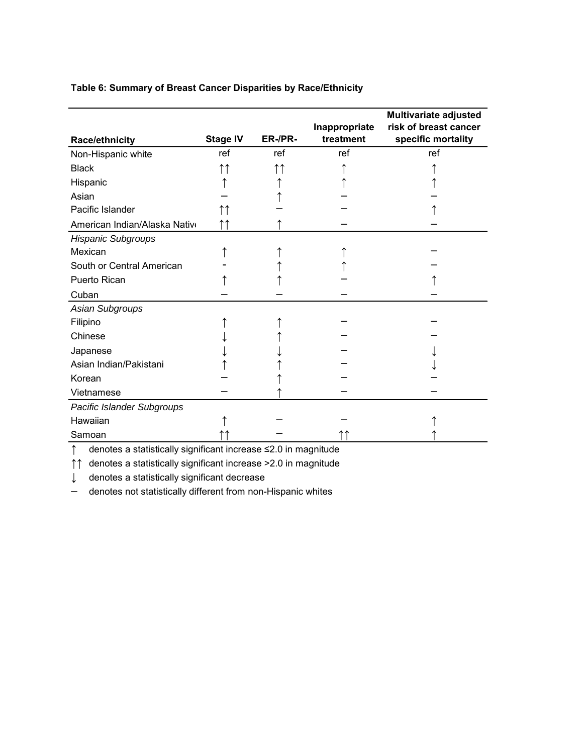# **Table 6: Summary of Breast Cancer Disparities by Race/Ethnicity**

|                               |                 |         | Inappropriate | Multivariate adjusted<br>risk of breast cancer |
|-------------------------------|-----------------|---------|---------------|------------------------------------------------|
| <b>Race/ethnicity</b>         | <b>Stage IV</b> | ER-/PR- | treatment     | specific mortality                             |
| Non-Hispanic white            | ref             | ref     | ref           | ref                                            |
| <b>Black</b>                  | ↑↑              |         |               |                                                |
| Hispanic                      |                 |         |               |                                                |
| Asian                         |                 |         |               |                                                |
| Pacific Islander              |                 |         |               |                                                |
| American Indian/Alaska Nativo |                 |         |               |                                                |
| <b>Hispanic Subgroups</b>     |                 |         |               |                                                |
| Mexican                       |                 |         |               |                                                |
| South or Central American     |                 |         |               |                                                |
| <b>Puerto Rican</b>           |                 |         |               |                                                |
| Cuban                         |                 |         |               |                                                |
| Asian Subgroups               |                 |         |               |                                                |
| Filipino                      |                 |         |               |                                                |
| Chinese                       |                 |         |               |                                                |
| Japanese                      |                 |         |               |                                                |
| Asian Indian/Pakistani        |                 |         |               |                                                |
| Korean                        |                 |         |               |                                                |
| Vietnamese                    |                 |         |               |                                                |
| Pacific Islander Subgroups    |                 |         |               |                                                |
| Hawaiian                      |                 |         |               |                                                |
| Samoan                        |                 |         |               |                                                |
|                               |                 |         |               |                                                |

↑ denotes a statistically significant increase ≤2.0 in magnitude

↑↑ denotes a statistically significant increase >2.0 in magnitude

↓ denotes a statistically significant decrease

– denotes not statistically different from non-Hispanic whites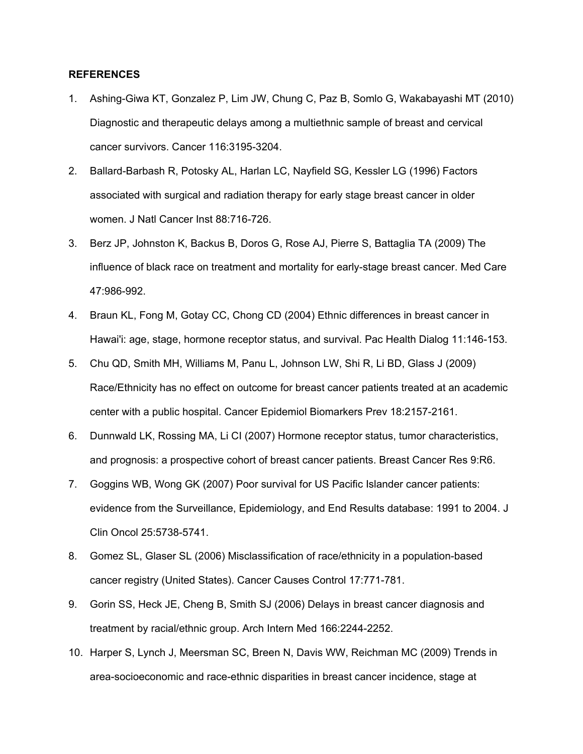#### **REFERENCES**

- 1. Ashing-Giwa KT, Gonzalez P, Lim JW, Chung C, Paz B, Somlo G, Wakabayashi MT (2010) Diagnostic and therapeutic delays among a multiethnic sample of breast and cervical cancer survivors. Cancer 116:3195-3204.
- 2. Ballard-Barbash R, Potosky AL, Harlan LC, Nayfield SG, Kessler LG (1996) Factors associated with surgical and radiation therapy for early stage breast cancer in older women. J Natl Cancer Inst 88:716-726.
- 3. Berz JP, Johnston K, Backus B, Doros G, Rose AJ, Pierre S, Battaglia TA (2009) The influence of black race on treatment and mortality for early-stage breast cancer. Med Care 47:986-992.
- 4. Braun KL, Fong M, Gotay CC, Chong CD (2004) Ethnic differences in breast cancer in Hawai'i: age, stage, hormone receptor status, and survival. Pac Health Dialog 11:146-153.
- 5. Chu QD, Smith MH, Williams M, Panu L, Johnson LW, Shi R, Li BD, Glass J (2009) Race/Ethnicity has no effect on outcome for breast cancer patients treated at an academic center with a public hospital. Cancer Epidemiol Biomarkers Prev 18:2157-2161.
- 6. Dunnwald LK, Rossing MA, Li CI (2007) Hormone receptor status, tumor characteristics, and prognosis: a prospective cohort of breast cancer patients. Breast Cancer Res 9:R6.
- 7. Goggins WB, Wong GK (2007) Poor survival for US Pacific Islander cancer patients: evidence from the Surveillance, Epidemiology, and End Results database: 1991 to 2004. J Clin Oncol 25:5738-5741.
- 8. Gomez SL, Glaser SL (2006) Misclassification of race/ethnicity in a population-based cancer registry (United States). Cancer Causes Control 17:771-781.
- 9. Gorin SS, Heck JE, Cheng B, Smith SJ (2006) Delays in breast cancer diagnosis and treatment by racial/ethnic group. Arch Intern Med 166:2244-2252.
- 10. Harper S, Lynch J, Meersman SC, Breen N, Davis WW, Reichman MC (2009) Trends in area-socioeconomic and race-ethnic disparities in breast cancer incidence, stage at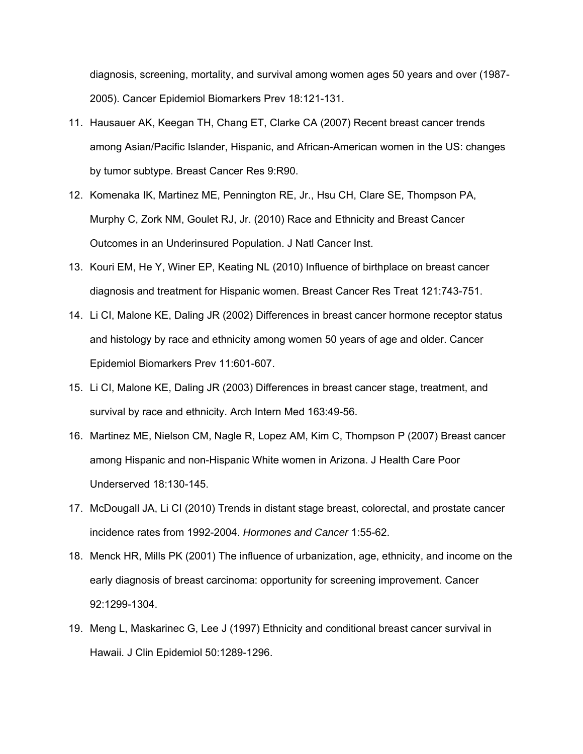diagnosis, screening, mortality, and survival among women ages 50 years and over (1987- 2005). Cancer Epidemiol Biomarkers Prev 18:121-131.

- 11. Hausauer AK, Keegan TH, Chang ET, Clarke CA (2007) Recent breast cancer trends among Asian/Pacific Islander, Hispanic, and African-American women in the US: changes by tumor subtype. Breast Cancer Res 9:R90.
- 12. Komenaka IK, Martinez ME, Pennington RE, Jr., Hsu CH, Clare SE, Thompson PA, Murphy C, Zork NM, Goulet RJ, Jr. (2010) Race and Ethnicity and Breast Cancer Outcomes in an Underinsured Population. J Natl Cancer Inst.
- 13. Kouri EM, He Y, Winer EP, Keating NL (2010) Influence of birthplace on breast cancer diagnosis and treatment for Hispanic women. Breast Cancer Res Treat 121:743-751.
- 14. Li CI, Malone KE, Daling JR (2002) Differences in breast cancer hormone receptor status and histology by race and ethnicity among women 50 years of age and older. Cancer Epidemiol Biomarkers Prev 11:601-607.
- 15. Li CI, Malone KE, Daling JR (2003) Differences in breast cancer stage, treatment, and survival by race and ethnicity. Arch Intern Med 163:49-56.
- 16. Martinez ME, Nielson CM, Nagle R, Lopez AM, Kim C, Thompson P (2007) Breast cancer among Hispanic and non-Hispanic White women in Arizona. J Health Care Poor Underserved 18:130-145.
- 17. McDougall JA, Li CI (2010) Trends in distant stage breast, colorectal, and prostate cancer incidence rates from 1992-2004. *Hormones and Cancer* 1:55-62.
- 18. Menck HR, Mills PK (2001) The influence of urbanization, age, ethnicity, and income on the early diagnosis of breast carcinoma: opportunity for screening improvement. Cancer 92:1299-1304.
- 19. Meng L, Maskarinec G, Lee J (1997) Ethnicity and conditional breast cancer survival in Hawaii. J Clin Epidemiol 50:1289-1296.